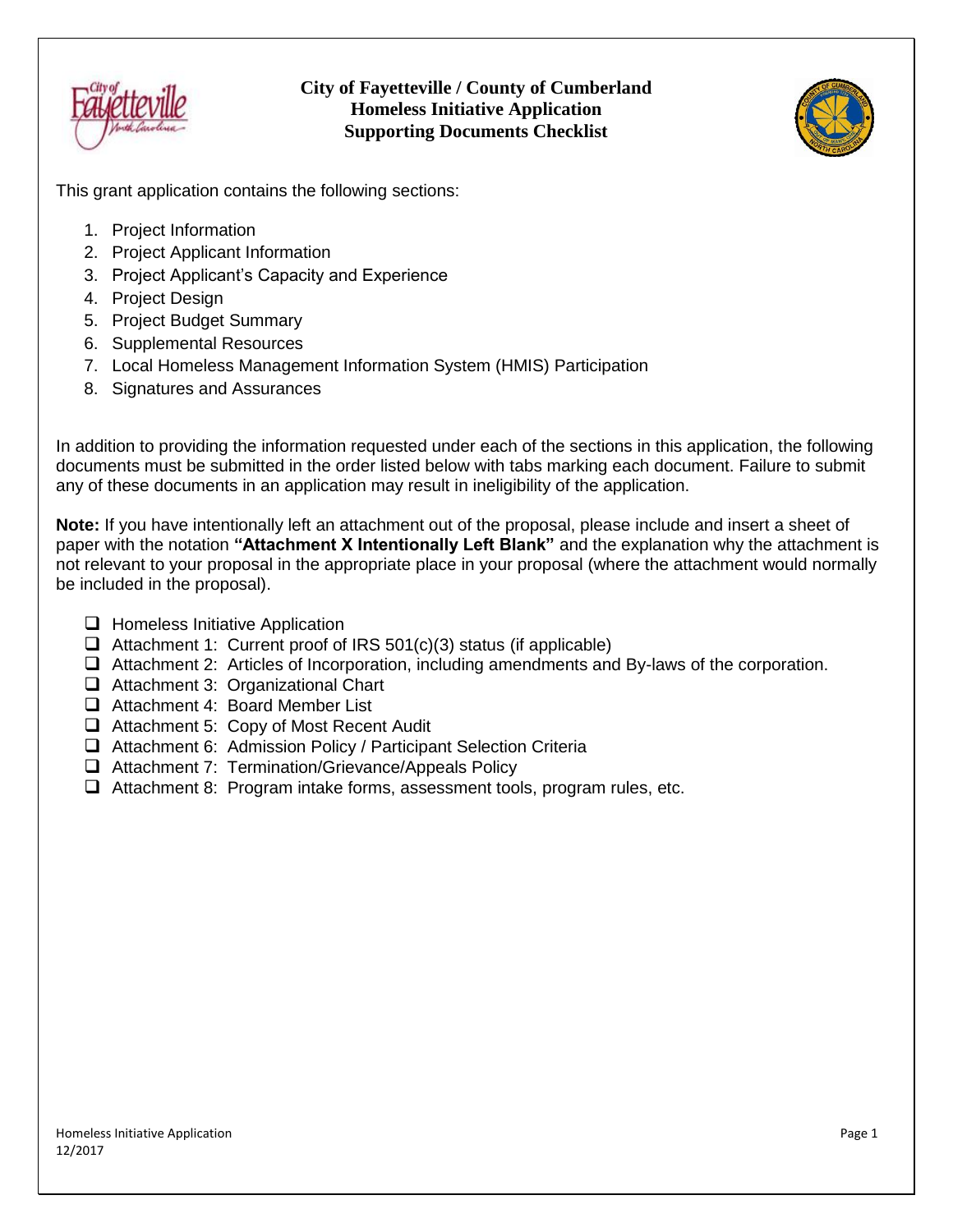

### **City of Fayetteville / County of Cumberland Homeless Initiative Application Supporting Documents Checklist**



This grant application contains the following sections:

- 1. Project Information
- 2. Project Applicant Information
- 3. Project Applicant's Capacity and Experience
- 4. Project Design
- 5. Project Budget Summary
- 6. Supplemental Resources
- 7. Local Homeless Management Information System (HMIS) Participation
- 8. Signatures and Assurances

In addition to providing the information requested under each of the sections in this application, the following documents must be submitted in the order listed below with tabs marking each document. Failure to submit any of these documents in an application may result in ineligibility of the application.

**Note:** If you have intentionally left an attachment out of the proposal, please include and insert a sheet of paper with the notation **"Attachment X Intentionally Left Blank"** and the explanation why the attachment is not relevant to your proposal in the appropriate place in your proposal (where the attachment would normally be included in the proposal).

- $\Box$  Homeless Initiative Application
- $\Box$  Attachment 1: Current proof of IRS 501(c)(3) status (if applicable)
- Attachment 2: Articles of Incorporation, including amendments and By-laws of the corporation.
- $\Box$  Attachment 3: Organizational Chart
- □ Attachment 4: Board Member List
- Attachment 5: Copy of Most Recent Audit
- Attachment 6: Admission Policy / Participant Selection Criteria
- □ Attachment 7: Termination/Grievance/Appeals Policy
- $\Box$  Attachment 8: Program intake forms, assessment tools, program rules, etc.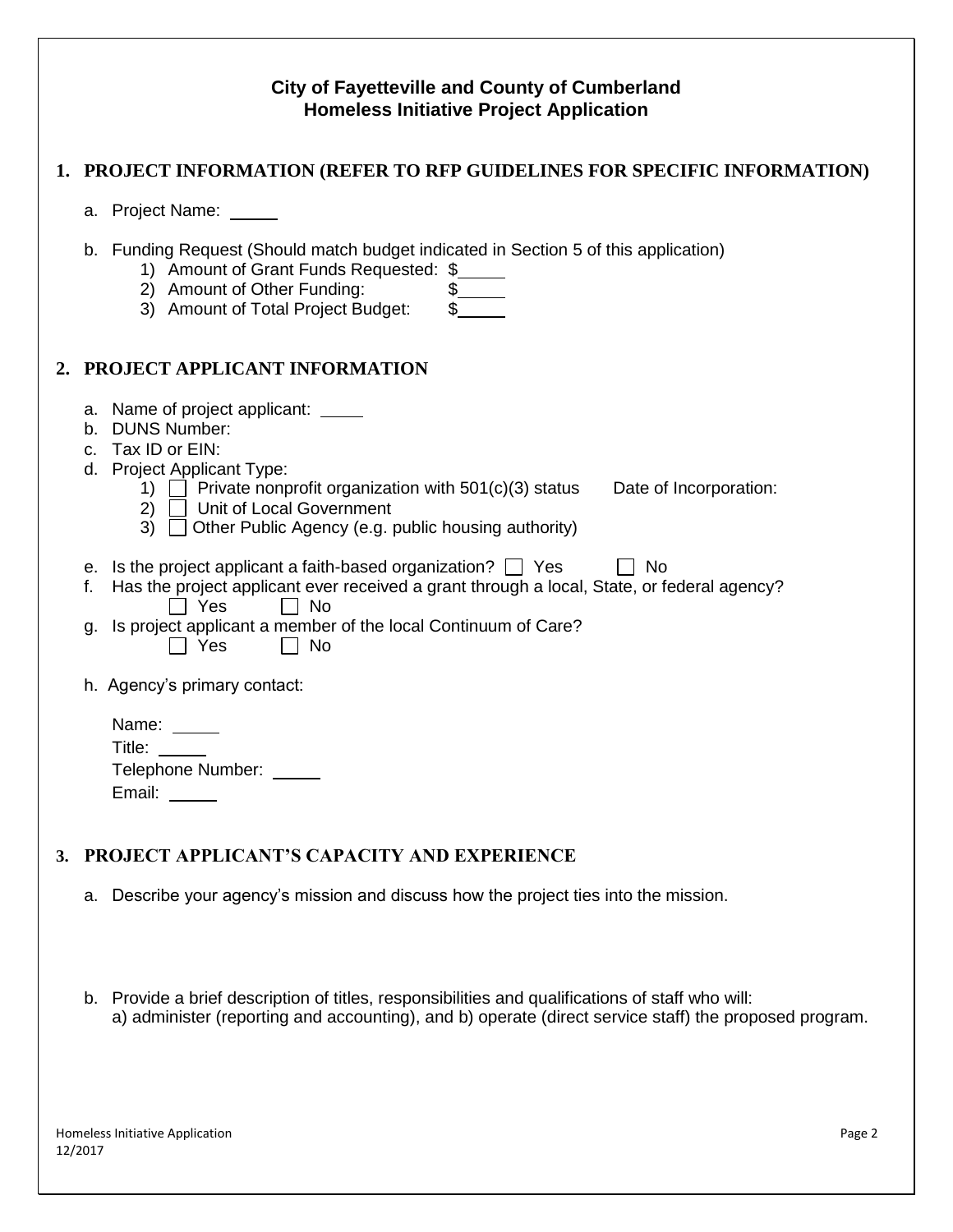|    | <b>City of Fayetteville and County of Cumberland</b><br><b>Homeless Initiative Project Application</b> |                                                                                                                                                                                                                                                                                                         |  |  |  |
|----|--------------------------------------------------------------------------------------------------------|---------------------------------------------------------------------------------------------------------------------------------------------------------------------------------------------------------------------------------------------------------------------------------------------------------|--|--|--|
|    |                                                                                                        | 1. PROJECT INFORMATION (REFER TO RFP GUIDELINES FOR SPECIFIC INFORMATION)                                                                                                                                                                                                                               |  |  |  |
|    |                                                                                                        | a. Project Name: _____                                                                                                                                                                                                                                                                                  |  |  |  |
|    |                                                                                                        | b. Funding Request (Should match budget indicated in Section 5 of this application)<br>1) Amount of Grant Funds Requested: \$<br>2) Amount of Other Funding:<br>3) Amount of Total Project Budget:                                                                                                      |  |  |  |
| 2. |                                                                                                        | PROJECT APPLICANT INFORMATION                                                                                                                                                                                                                                                                           |  |  |  |
|    |                                                                                                        | a. Name of project applicant: _____<br>b. DUNS Number:<br>c. Tax ID or EIN:<br>d. Project Applicant Type:<br>1) $\Box$ Private nonprofit organization with 501(c)(3) status<br>Date of Incorporation:<br>2) <b>J</b> Unit of Local Government<br>3) Other Public Agency (e.g. public housing authority) |  |  |  |
|    | f.<br>g.                                                                                               | e. Is the project applicant a faith-based organization? $\Box$ Yes<br>- No<br>Has the project applicant ever received a grant through a local, State, or federal agency?<br>l I Yes<br>l I No<br>Is project applicant a member of the local Continuum of Care?<br>Yes<br><b>No</b>                      |  |  |  |
|    |                                                                                                        | h. Agency's primary contact:                                                                                                                                                                                                                                                                            |  |  |  |
|    |                                                                                                        | Name:<br>Title:<br>Telephone Number: _____<br>Email:                                                                                                                                                                                                                                                    |  |  |  |
| 3. |                                                                                                        | <b>PROJECT APPLICANT'S CAPACITY AND EXPERIENCE</b>                                                                                                                                                                                                                                                      |  |  |  |
|    |                                                                                                        | a. Describe your agency's mission and discuss how the project ties into the mission.                                                                                                                                                                                                                    |  |  |  |

b. Provide a brief description of titles, responsibilities and qualifications of staff who will: a) administer (reporting and accounting), and b) operate (direct service staff) the proposed program.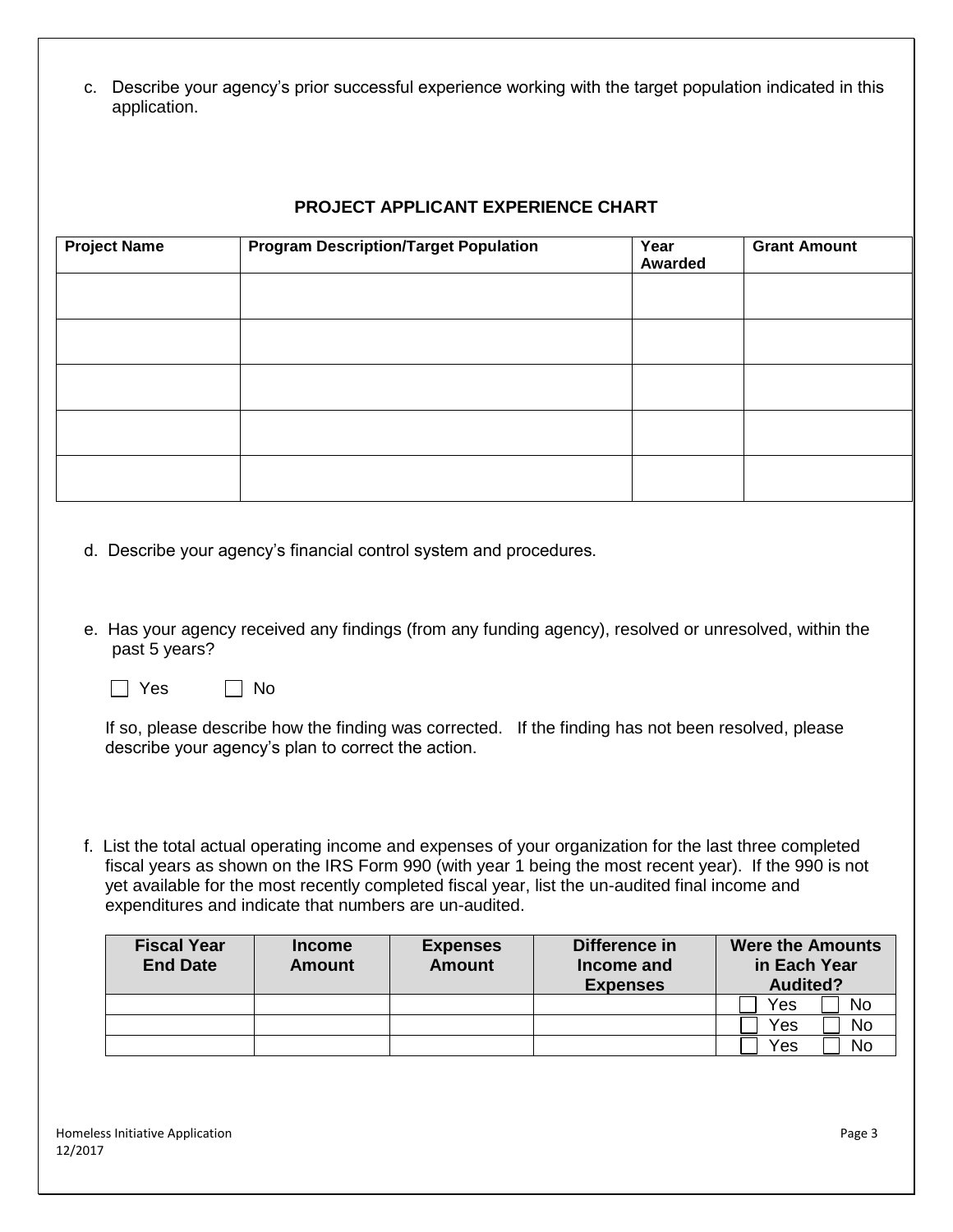c. Describe your agency's prior successful experience working with the target population indicated in this application.

#### **PROJECT APPLICANT EXPERIENCE CHART**

| <b>Project Name</b> | <b>Program Description/Target Population</b> | Year<br>Awarded | <b>Grant Amount</b> |
|---------------------|----------------------------------------------|-----------------|---------------------|
|                     |                                              |                 |                     |
|                     |                                              |                 |                     |
|                     |                                              |                 |                     |
|                     |                                              |                 |                     |
|                     |                                              |                 |                     |

- d. Describe your agency's financial control system and procedures.
- e. Has your agency received any findings (from any funding agency), resolved or unresolved, within the past 5 years?
	- $\Box$  Yes  $\Box$  No

If so, please describe how the finding was corrected. If the finding has not been resolved, please describe your agency's plan to correct the action.

f. List the total actual operating income and expenses of your organization for the last three completed fiscal years as shown on the IRS Form 990 (with year 1 being the most recent year). If the 990 is not yet available for the most recently completed fiscal year, list the un-audited final income and expenditures and indicate that numbers are un-audited.

| <b>Fiscal Year</b><br><b>End Date</b> | <b>Income</b><br><b>Amount</b> | <b>Expenses</b><br><b>Amount</b> | Difference in<br>Income and<br><b>Expenses</b> | <b>Were the Amounts</b><br>in Each Year<br><b>Audited?</b> |
|---------------------------------------|--------------------------------|----------------------------------|------------------------------------------------|------------------------------------------------------------|
|                                       |                                |                                  |                                                | Yes<br>No                                                  |
|                                       |                                |                                  |                                                | Yes<br><b>No</b>                                           |
|                                       |                                |                                  |                                                | Yes<br>No                                                  |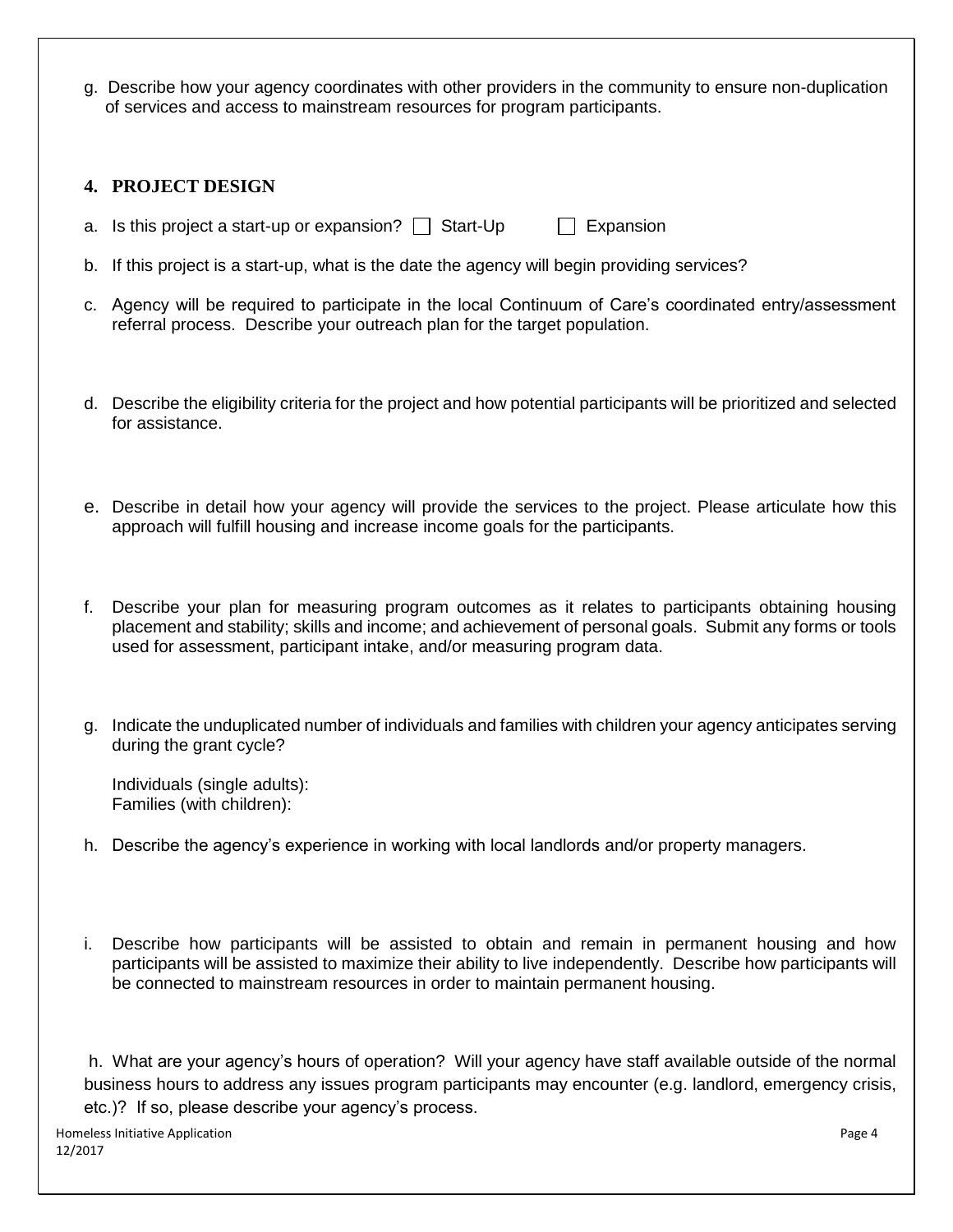g. Describe how your agency coordinates with other providers in the community to ensure non-duplication of services and access to mainstream resources for program participants.

### **4. PROJECT DESIGN**

- a. Is this project a start-up or expansion?  $\Box$  Start-Up  $\Box$  Expansion
- b. If this project is a start-up, what is the date the agency will begin providing services?
- c. Agency will be required to participate in the local Continuum of Care's coordinated entry/assessment referral process. Describe your outreach plan for the target population.
- d. Describe the eligibility criteria for the project and how potential participants will be prioritized and selected for assistance.
- e. Describe in detail how your agency will provide the services to the project. Please articulate how this approach will fulfill housing and increase income goals for the participants.
- Describe your plan for measuring program outcomes as it relates to participants obtaining housing placement and stability; skills and income; and achievement of personal goals. Submit any forms or tools used for assessment, participant intake, and/or measuring program data.
- g. Indicate the unduplicated number of individuals and families with children your agency anticipates serving during the grant cycle?

Individuals (single adults): Families (with children):

- h. Describe the agency's experience in working with local landlords and/or property managers.
- Describe how participants will be assisted to obtain and remain in permanent housing and how participants will be assisted to maximize their ability to live independently. Describe how participants will be connected to mainstream resources in order to maintain permanent housing.

h. What are your agency's hours of operation? Will your agency have staff available outside of the normal business hours to address any issues program participants may encounter (e.g. landlord, emergency crisis, etc.)? If so, please describe your agency's process.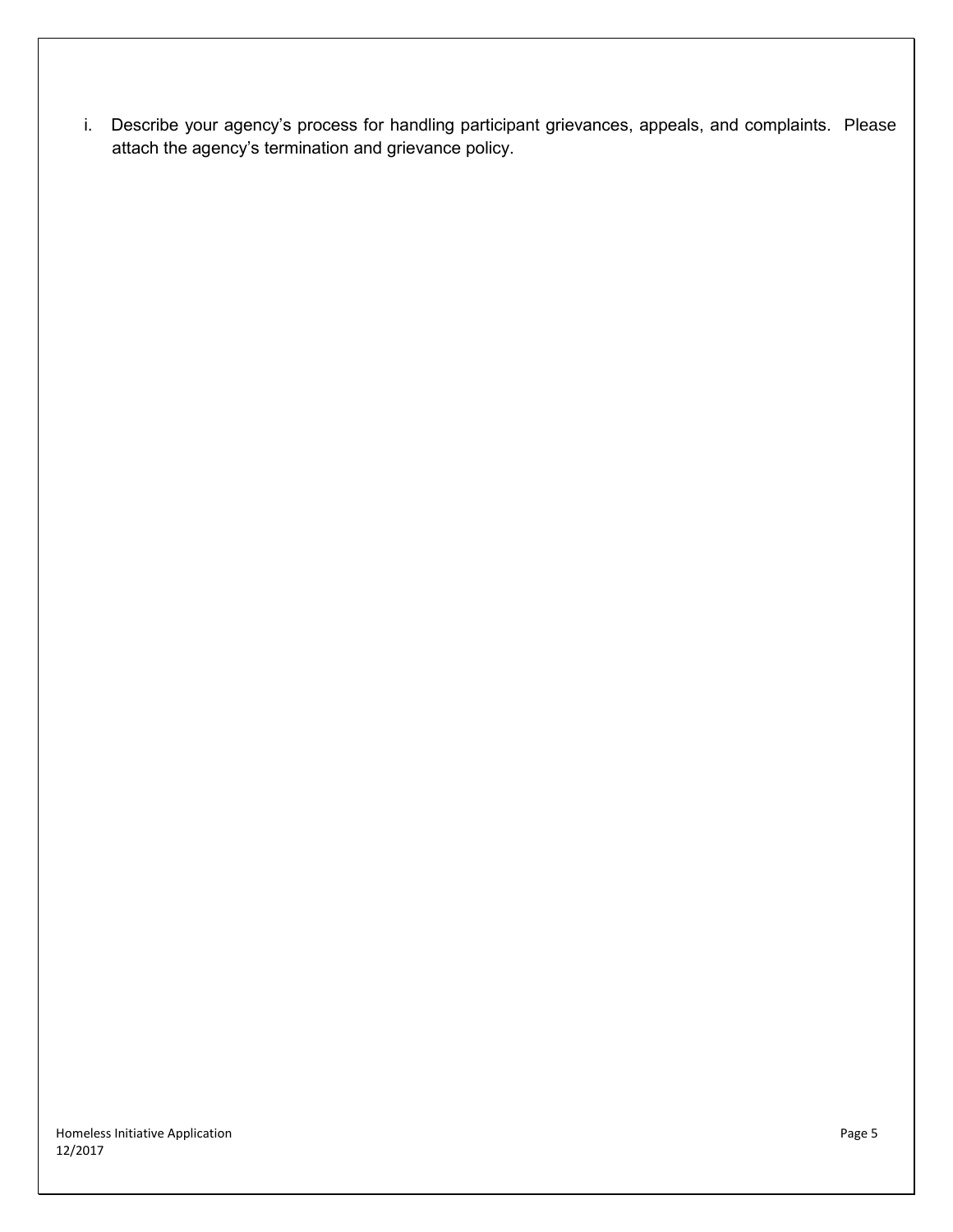i. Describe your agency's process for handling participant grievances, appeals, and complaints. Please attach the agency's termination and grievance policy.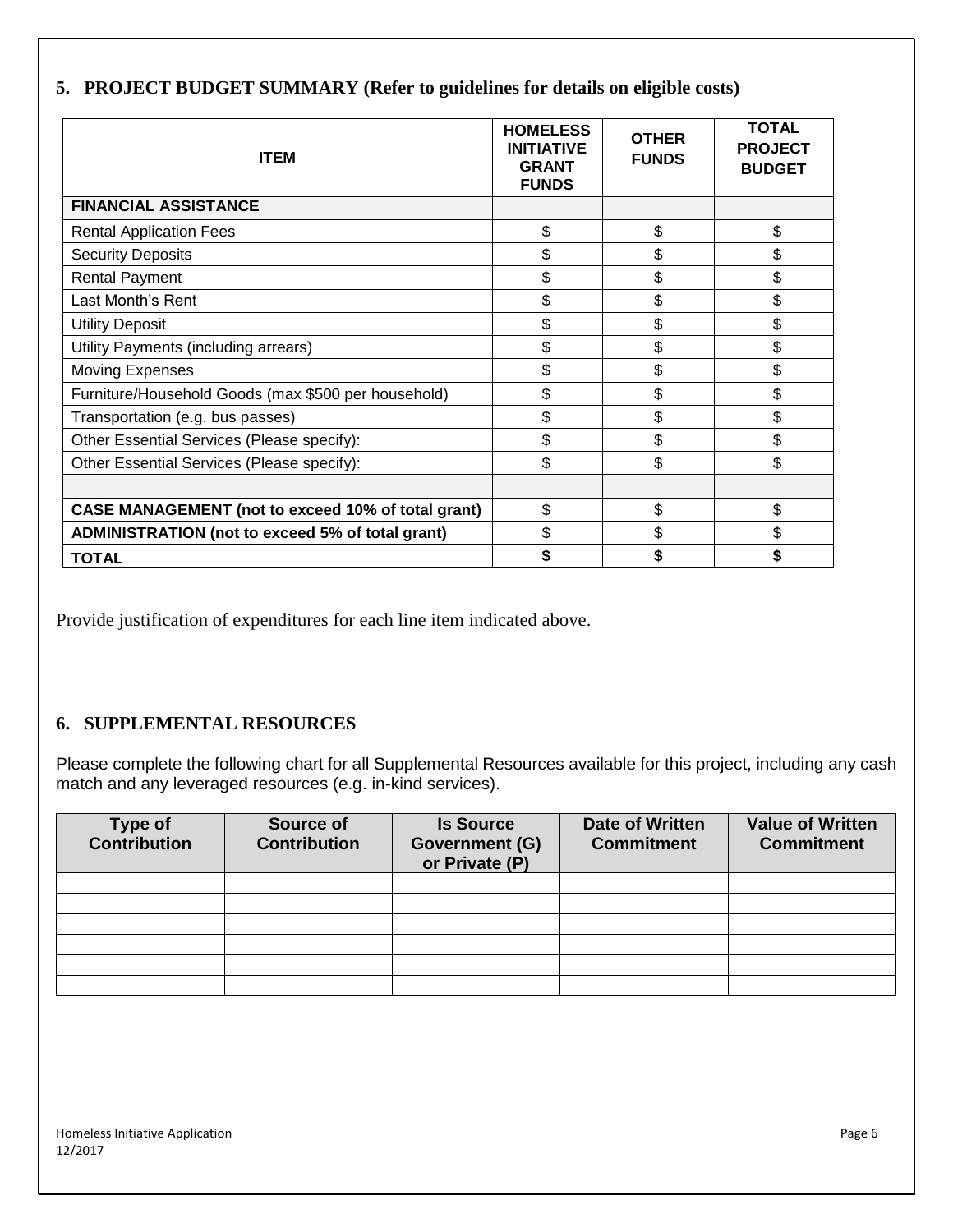| <b>ITEM</b>                                               | <b>HOMELESS</b><br><b>INITIATIVE</b><br><b>GRANT</b><br><b>FUNDS</b> | <b>OTHER</b><br><b>FUNDS</b> | <b>TOTAL</b><br><b>PROJECT</b><br><b>BUDGET</b> |
|-----------------------------------------------------------|----------------------------------------------------------------------|------------------------------|-------------------------------------------------|
| <b>FINANCIAL ASSISTANCE</b>                               |                                                                      |                              |                                                 |
| <b>Rental Application Fees</b>                            | \$                                                                   | \$                           | \$                                              |
| <b>Security Deposits</b>                                  | \$                                                                   | \$                           | \$                                              |
| <b>Rental Payment</b>                                     | \$                                                                   | \$                           | \$                                              |
| Last Month's Rent                                         | \$                                                                   | \$                           | \$                                              |
| <b>Utility Deposit</b>                                    | \$                                                                   | \$                           | \$                                              |
| Utility Payments (including arrears)                      | \$                                                                   | \$                           | \$                                              |
| <b>Moving Expenses</b>                                    | \$                                                                   | \$                           | \$                                              |
| Furniture/Household Goods (max \$500 per household)       | \$                                                                   | \$                           | \$                                              |
| Transportation (e.g. bus passes)                          | \$                                                                   | \$                           | \$                                              |
| Other Essential Services (Please specify):                | \$                                                                   | \$                           | \$                                              |
| Other Essential Services (Please specify):                | \$                                                                   | \$                           | \$                                              |
|                                                           |                                                                      |                              |                                                 |
| <b>CASE MANAGEMENT (not to exceed 10% of total grant)</b> | \$                                                                   | \$                           | \$                                              |
| ADMINISTRATION (not to exceed 5% of total grant)          | \$                                                                   | \$                           | \$                                              |
| <b>TOTAL</b>                                              |                                                                      |                              |                                                 |

# **5. PROJECT BUDGET SUMMARY (Refer to guidelines for details on eligible costs)**

Provide justification of expenditures for each line item indicated above.

## **6. SUPPLEMENTAL RESOURCES**

Please complete the following chart for all Supplemental Resources available for this project, including any cash match and any leveraged resources (e.g. in-kind services).

| <b>Type of</b><br><b>Contribution</b> | <b>Source of</b><br><b>Contribution</b> | <b>Is Source</b><br><b>Government (G)</b><br>or Private (P) | <b>Date of Written</b><br><b>Commitment</b> | <b>Value of Written</b><br><b>Commitment</b> |
|---------------------------------------|-----------------------------------------|-------------------------------------------------------------|---------------------------------------------|----------------------------------------------|
|                                       |                                         |                                                             |                                             |                                              |
|                                       |                                         |                                                             |                                             |                                              |
|                                       |                                         |                                                             |                                             |                                              |
|                                       |                                         |                                                             |                                             |                                              |
|                                       |                                         |                                                             |                                             |                                              |
|                                       |                                         |                                                             |                                             |                                              |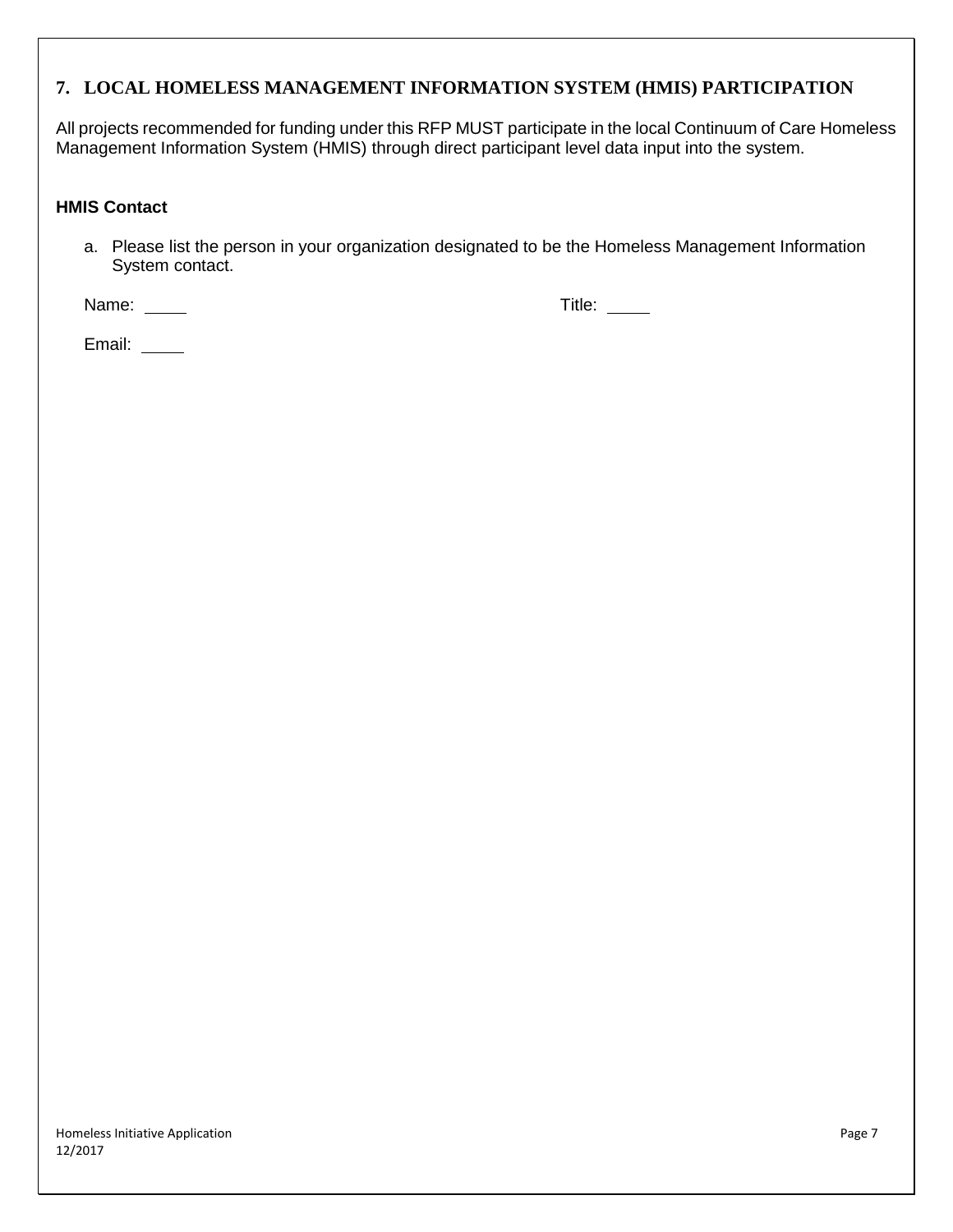# **7. LOCAL HOMELESS MANAGEMENT INFORMATION SYSTEM (HMIS) PARTICIPATION**

All projects recommended for funding under this RFP MUST participate in the local Continuum of Care Homeless Management Information System (HMIS) through direct participant level data input into the system.

#### **HMIS Contact**

a. Please list the person in your organization designated to be the Homeless Management Information System contact.

Name: \_\_\_\_\_\_ Title: \_\_\_\_\_

Email: